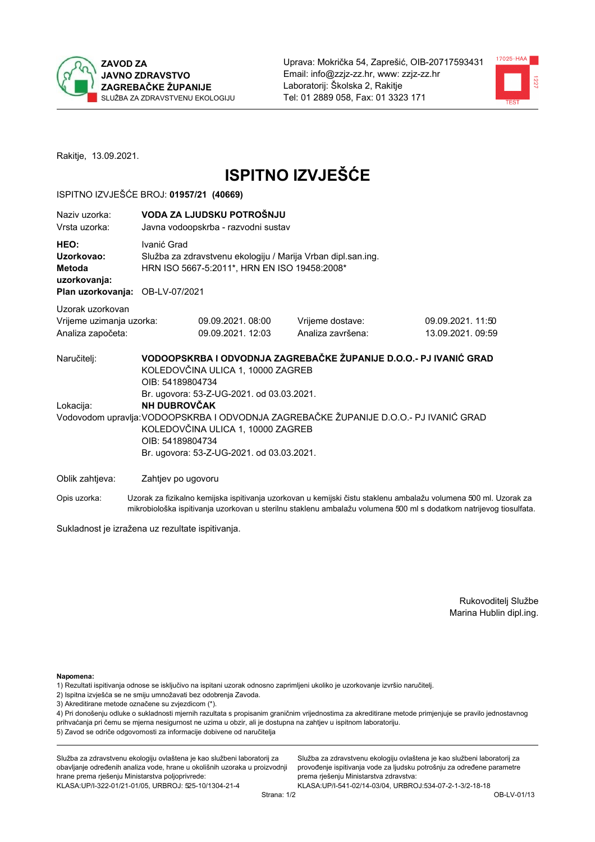



Rakitje, 13.09.2021.

# **ISPITNO IZVJEŠĆE**

### ISPITNO IZVJEŠĆE BROJ: 01957/21 (40669)

| Naziy uzorka:<br>Vrsta uzorka:                                                  |                                                             | VODA ZA LJUDSKU POTROŠNJU<br>Javna vodoopskrba - razvodni sustav                                                                                                 |                                                                                                                                                            |                                                                                                                  |  |  |  |
|---------------------------------------------------------------------------------|-------------------------------------------------------------|------------------------------------------------------------------------------------------------------------------------------------------------------------------|------------------------------------------------------------------------------------------------------------------------------------------------------------|------------------------------------------------------------------------------------------------------------------|--|--|--|
| HEO:<br>Uzorkovao:<br>Metoda<br>uzorkovanja:<br>Plan uzorkovanja: OB-LV-07/2021 |                                                             | Ivanić Grad<br>Služba za zdravstvenu ekologiju / Marija Vrban dipl.san.ing.<br>HRN ISO 5667-5:2011*, HRN EN ISO 19458:2008*                                      |                                                                                                                                                            |                                                                                                                  |  |  |  |
| Uzorak uzorkovan                                                                |                                                             |                                                                                                                                                                  |                                                                                                                                                            |                                                                                                                  |  |  |  |
| Vrijeme uzimanja uzorka:<br>Analiza započeta:                                   |                                                             | 09.09.2021.08:00<br>09.09.2021. 12:03                                                                                                                            | Vrijeme dostave:<br>Analiza završena:                                                                                                                      | 09.09.2021.11:50<br>13.09.2021.09:59                                                                             |  |  |  |
| Naručitelj:<br>Lokacija:                                                        | OIB: 54189804734<br><b>NH DUBROVČAK</b><br>OIB: 54189804734 | KOLEDOVČINA ULICA 1, 10000 ZAGREB<br>Br. ugovora: 53-Z-UG-2021. od 03.03.2021.<br>KOLEDOVČINA ULICA 1, 10000 ZAGREB<br>Br. ugovora: 53-Z-UG-2021. od 03.03.2021. | VODOOPSKRBA I ODVODNJA ZAGREBAČKE ŽUPANIJE D.O.O.- PJ IVANIĆ GRAD<br>Vodovodom upravlja: VODOOPSKRBA I ODVODNJA ZAGREBAČKE ŽUPANIJE D.O.O.- PJ IVANIĆ GRAD |                                                                                                                  |  |  |  |
| Oblik zahtjeva:                                                                 | Zahtjev po ugovoru                                          |                                                                                                                                                                  |                                                                                                                                                            |                                                                                                                  |  |  |  |
| Opis uzorka:                                                                    |                                                             |                                                                                                                                                                  |                                                                                                                                                            | Uzorak za fizikalno kemijska ispitivanja uzorkovan u kemijski čistu staklenu ambalažu volumena 500 ml. Uzorak za |  |  |  |

mikrobiološka ispitivanja uzorkovan u sterilnu staklenu ambalažu volumena 500 ml s dodatkom natrijevog tiosulfata.

Sukladnost je izražena uz rezultate ispitivanja.

Rukovoditelj Službe Marina Hublin dipl.ing.

Napomena:

- 1) Rezultati ispitivanja odnose se isključivo na ispitani uzorak odnosno zaprimljeni ukoliko je uzorkovanje izvršio naručitelj.
- 2) Ispitna izvješća se ne smiju umnožavati bez odobrenja Zavoda.
- 3) Akreditirane metode označene su zvjezdicom (\*).

4) Pri donošenju odluke o sukladnosti mjernih razultata s propisanim graničnim vrijednostima za akreditirane metode primjenjuje se pravilo jednostavnog prihvaćanja pri čemu se mjerna nesigurnost ne uzima u obzir, ali je dostupna na zahtjev u ispitnom laboratoriju. 5) Zavod se odriče odgovornosti za informacije dobivene od naručitelja

Služba za zdravstvenu ekologiju ovlaštena je kao službeni laboratorij za obavljanje određenih analiza vode, hrane u okolišnih uzoraka u proizvodnji hrane prema rješenju Ministarstva poljoprivrede: KLASA: UP/I-322-01/21-01/05, URBROJ: 525-10/1304-21-4

Služba za zdravstvenu ekologiju ovlaštena je kao službeni laboratorij za provođenje ispitivanja vode za ljudsku potrošnju za određene parametre prema rješenju Ministarstva zdravstva: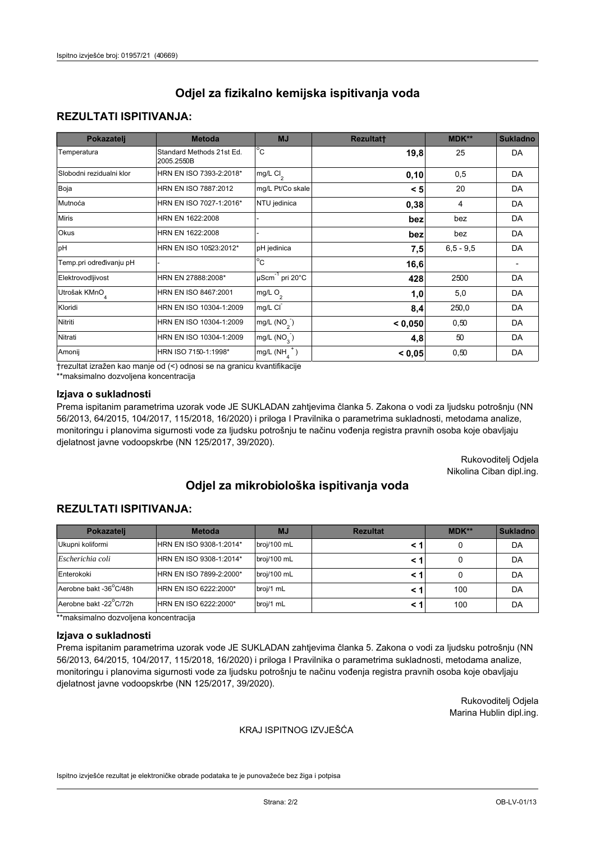# **REZULTATI ISPITIVANJA:**

| Pokazatelj                | <b>Metoda</b>                           | <b>MJ</b>                                | <b>Rezultatt</b> | <b>MDK**</b> | <b>Sukladno</b> |
|---------------------------|-----------------------------------------|------------------------------------------|------------------|--------------|-----------------|
| Temperatura               | Standard Methods 21st Ed.<br>2005.2550B | $^{\circ}$ C                             | 19,8             | 25           | DA              |
| Slobodni rezidualni klor  | HRN EN ISO 7393-2:2018*                 | $\overline{\text{mg/L}}$ Cl <sub>2</sub> | 0, 10            | 0,5          | DA              |
| Boja                      | HRN EN ISO 7887:2012                    | mg/L Pt/Co skale                         | < 5              | 20           | DA              |
| Mutnoća                   | HRN EN ISO 7027-1:2016*                 | NTU jedinica                             | 0,38             | 4            | DA              |
| <b>Miris</b>              | HRN EN 1622:2008                        |                                          | bez              | bez          | DA              |
| Okus                      | HRN EN 1622:2008                        |                                          | bez              | bez          | DA              |
| pH                        | HRN EN ISO 10523:2012*                  | pH jedinica                              | 7,5              | $6.5 - 9.5$  | DA              |
| Temp.pri određivanju pH   |                                         | $\overline{c}$                           | 16,6             |              |                 |
| Elektrovodljivost         | HRN EN 27888:2008*                      | $\mu$ Scm <sup>-1</sup> pri 20°C         | 428              | 2500         | DA              |
| Utrošak KMnO <sub>4</sub> | HRN EN ISO 8467:2001                    | mg/L $O_2$                               | 1,0              | 5,0          | DA              |
| Kloridi                   | HRN EN ISO 10304-1:2009                 | mg/L CI                                  | 8,4              | 250,0        | DA              |
| Nitriti                   | HRN EN ISO 10304-1:2009                 | mg/L $(NO2)$                             | < 0,050          | 0,50         | DA              |
| Nitrati                   | HRN EN ISO 10304-1:2009                 | mg/L (NO <sub>3</sub> )                  | 4,8              | 50           | DA              |
| Amonij                    | HRN ISO 7150-1:1998*                    | mg/L $(NH_{\lambda}^{\dagger})$          | < 0,05           | 0,50         | DA              |

trezultat izražen kao manje od (<) odnosi se na granicu kvantifikacije

\*\*maksimalno dozvoljena koncentracija

## Izjava o sukladnosti

Prema ispitanim parametrima uzorak vode JE SUKLADAN zahtjevima članka 5. Zakona o vodi za ljudsku potrošnju (NN 56/2013, 64/2015, 104/2017, 115/2018, 16/2020) i priloga I Pravilnika o parametrima sukladnosti, metodama analize, monitoringu i planovima sigurnosti vode za ljudsku potrošnju te načinu vođenja registra pravnih osoba koje obavljaju djelatnost javne vodoopskrbe (NN 125/2017, 39/2020).

> Rukovoditelj Odjela Nikolina Ciban dipl.ing.

# Odjel za mikrobiološka ispitivanja voda

## **REZULTATI ISPITIVANJA:**

| Pokazatelj             | <b>Metoda</b>           | <b>MJ</b>   | <b>Rezultat</b> | MDK** | <b>Sukladno</b> |
|------------------------|-------------------------|-------------|-----------------|-------|-----------------|
| Ukupni koliformi       | HRN EN ISO 9308-1:2014* | broj/100 mL |                 |       | DA              |
| Escherichia coli       | HRN EN ISO 9308-1:2014* | broj/100 mL |                 |       | DA              |
| Enterokoki             | HRN EN ISO 7899-2:2000* | broj/100 mL |                 |       | DA              |
| Aerobne bakt -36°C/48h | HRN EN ISO 6222:2000*   | broj/1 mL   |                 | 100   | DA              |
| Aerobne bakt -22°C/72h | HRN EN ISO 6222:2000*   | broj/1 mL   |                 | 100   | DA              |

\*\*maksimalno dozvoljena koncentracija

#### Izjava o sukladnosti

Prema ispitanim parametrima uzorak vode JE SUKLADAN zahtjevima članka 5. Zakona o vodi za ljudsku potrošnju (NN 56/2013, 64/2015, 104/2017, 115/2018, 16/2020) i priloga I Pravilnika o parametrima sukladnosti, metodama analize, monitoringu i planovima sigurnosti vode za ljudsku potrošnju te načinu vođenja registra pravnih osoba koje obavljaju djelatnost javne vodoopskrbe (NN 125/2017, 39/2020).

> Rukovoditelj Odjela Marina Hublin dipl.ing.

#### KRAJ ISPITNOG IZVJEŠĆA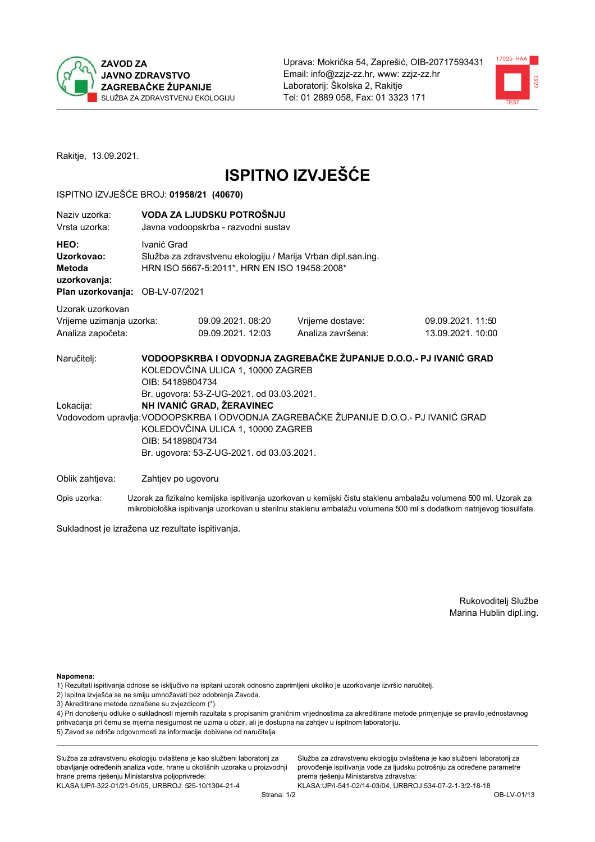



Rakitje, 13.09.2021.

# **ISPITNO IZVJEŠĆE**

### ISPITNO IZVJEŠĆE BROJ: 01958/21 (40670)

| Naziv uzorka:<br>Vrsta uzorka:                                                  |                                                                                                                                                                                                                                                                       | VODA ZA LJUDSKU POTROŠNJU<br>Javna vodoopskrba - razvodni sustav                                             |                                                                   |                                       |  |  |
|---------------------------------------------------------------------------------|-----------------------------------------------------------------------------------------------------------------------------------------------------------------------------------------------------------------------------------------------------------------------|--------------------------------------------------------------------------------------------------------------|-------------------------------------------------------------------|---------------------------------------|--|--|
| HEO:<br>Uzorkovao:<br>Metoda<br>uzorkovanja:<br>Plan uzorkovanja: OB-LV-07/2021 | Ivanić Grad                                                                                                                                                                                                                                                           | Služba za zdravstvenu ekologiju / Marija Vrban dipl.san.ing.<br>HRN ISO 5667-5:2011*, HRN EN ISO 19458:2008* |                                                                   |                                       |  |  |
| Uzorak uzorkovan<br>Vrijeme uzimanja uzorka:<br>Analiza započeta:               |                                                                                                                                                                                                                                                                       | 09.09.2021, 08:20<br>09.09.2021.12:03                                                                        | Vrijeme dostave:<br>Analiza završena:                             | 09.09.2021.11:50<br>13.09.2021. 10:00 |  |  |
| Naručitelj:                                                                     | OIB: 54189804734                                                                                                                                                                                                                                                      | KOLEDOVČINA ULICA 1, 10000 ZAGREB                                                                            | VODOOPSKRBA I ODVODNJA ZAGREBAČKE ŽUPANIJE D.O.O.- PJ IVANIĆ GRAD |                                       |  |  |
| Lokacija:                                                                       | Br. ugovora: 53-Z-UG-2021. od 03.03.2021.<br>NH IVANIĆ GRAD, ŽERAVINEC<br>Vodovodom upravlja: VODOOPSKRBA I ODVODNJA ZAGREBAČKE ŽUPANIJE D.O.O.- PJ IVANIĆ GRAD<br>KOLEDOVČINA ULICA 1, 10000 ZAGREB<br>OIB: 54189804734<br>Br. ugovora: 53-Z-UG-2021. od 03.03.2021. |                                                                                                              |                                                                   |                                       |  |  |
| Oblik zahtjeva:                                                                 | Zahtjev po ugovoru                                                                                                                                                                                                                                                    |                                                                                                              |                                                                   |                                       |  |  |

Opis uzorka: Uzorak za fizikalno kemijska ispitivanja uzorkovan u kemijski čistu staklenu ambalažu volumena 500 ml. Uzorak za mikrobiološka ispitivanja uzorkovan u sterilnu staklenu ambalažu volumena 500 ml s dodatkom natrijevog tiosulfata.

Sukladnost je izražena uz rezultate ispitivanja.

Rukovoditelj Službe Marina Hublin dipl.ing.

Napomena:

- 1) Rezultati ispitivanja odnose se isključivo na ispitani uzorak odnosno zaprimljeni ukoliko je uzorkovanje izvršio naručitelj.
- 2) Ispitna izvješća se ne smiju umnožavati bez odobrenja Zavoda.
- 3) Akreditirane metode označene su zvjezdicom (\*).

4) Pri donošenju odluke o sukladnosti mjernih razultata s propisanim graničnim vrijednostima za akreditirane metode primjenjuje se pravilo jednostavnog prihvaćanja pri čemu se mjerna nesigurnost ne uzima u obzir, ali je dostupna na zahtjev u ispitnom laboratoriju. 5) Zavod se odriče odgovornosti za informacije dobivene od naručitelja

Služba za zdravstvenu ekologiju ovlaštena je kao službeni laboratorij za obavljanje određenih analiza vode, hrane u okolišnih uzoraka u proizvodnji hrane prema rješenju Ministarstva poljoprivrede: KLASA: UP/I-322-01/21-01/05, URBROJ: 525-10/1304-21-4

Služba za zdravstvenu ekologiju ovlaštena je kao službeni laboratorij za provođenje ispitivanja vode za ljudsku potrošnju za određene parametre prema rješenju Ministarstva zdravstva: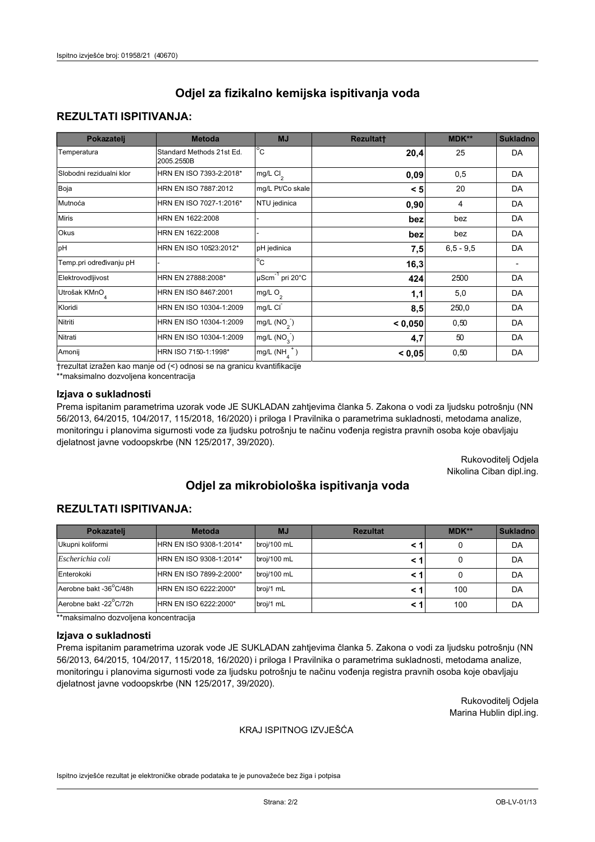# **REZULTATI ISPITIVANJA:**

| Pokazatelj                | <b>Metoda</b>                           | <b>MJ</b>                        | <b>Rezultatt</b> | MDK**         | <b>Sukladno</b> |
|---------------------------|-----------------------------------------|----------------------------------|------------------|---------------|-----------------|
| Temperatura               | Standard Methods 21st Ed.<br>2005.2550B | $^{\circ}$ C                     | 20,4             | 25            | DA              |
| Slobodni rezidualni klor  | HRN EN ISO 7393-2:2018*                 | $mg/L$ Cl <sub>2</sub>           | 0,09             | 0,5           | DA              |
| Boja                      | HRN EN ISO 7887:2012                    | mg/L Pt/Co skale                 | < 5              | 20            | DA              |
| Mutnoća                   | HRN EN ISO 7027-1:2016*                 | NTU jedinica                     | 0,90             | 4             | DA              |
| <b>Miris</b>              | HRN EN 1622:2008                        |                                  | bez              | bez           | DA              |
| Okus                      | HRN EN 1622:2008                        |                                  | bez              | bez           | DA              |
| pH                        | HRN EN ISO 10523:2012*                  | pH jedinica                      | 7,5              | $6, 5 - 9, 5$ | <b>DA</b>       |
| Temp.pri određivanju pH   |                                         | $\overline{c}$                   | 16,3             |               |                 |
| Elektrovodljivost         | HRN EN 27888:2008*                      | $\mu$ Scm <sup>-1</sup> pri 20°C | 424              | 2500          | DA              |
| Utrošak KMnO <sub>4</sub> | HRN EN ISO 8467:2001                    | mg/L O <sub>2</sub>              | 1,1              | 5,0           | DA              |
| Kloridi                   | HRN EN ISO 10304-1:2009                 | mg/L CI                          | 8,5              | 250,0         | DA              |
| Nitriti                   | HRN EN ISO 10304-1:2009                 | mg/L $(NO2)$                     | < 0,050          | 0,50          | DA              |
| Nitrati                   | HRN EN ISO 10304-1:2009                 | mg/L (NO <sub>3</sub> )          | 4,7              | 50            | <b>DA</b>       |
| Amonij                    | HRN ISO 7150-1:1998*                    | $mg/L(NH_A^+)$                   | < 0,05           | 0,50          | DA              |

trezultat izražen kao manje od (<) odnosi se na granicu kvantifikacije

\*\*maksimalno dozvoljena koncentracija

## Izjava o sukladnosti

Prema ispitanim parametrima uzorak vode JE SUKLADAN zahtjevima članka 5. Zakona o vodi za ljudsku potrošnju (NN 56/2013, 64/2015, 104/2017, 115/2018, 16/2020) i priloga I Pravilnika o parametrima sukladnosti, metodama analize, monitoringu i planovima sigurnosti vode za ljudsku potrošnju te načinu vođenja registra pravnih osoba koje obavljaju djelatnost javne vodoopskrbe (NN 125/2017, 39/2020).

> Rukovoditelj Odjela Nikolina Ciban dipl.ing.

# Odjel za mikrobiološka ispitivanja voda

## **REZULTATI ISPITIVANJA:**

| Pokazateli             | <b>Metoda</b>           | <b>MJ</b>   | <b>Rezultat</b> | MDK** | <b>Sukladno</b> |
|------------------------|-------------------------|-------------|-----------------|-------|-----------------|
| Ukupni koliformi       | HRN EN ISO 9308-1:2014* | broj/100 mL |                 |       | DA              |
| Escherichia coli       | HRN EN ISO 9308-1:2014* | broj/100 mL |                 |       | DA              |
| Enterokoki             | HRN EN ISO 7899-2:2000* | broj/100 mL |                 |       | DA              |
| Aerobne bakt -36°C/48h | HRN EN ISO 6222:2000*   | broj/1 mL   |                 | 100   | DA              |
| Aerobne bakt -22°C/72h | HRN EN ISO 6222:2000*   | broj/1 mL   |                 | 100   | DA              |

\*\*maksimalno dozvoljena koncentracija

#### Izjava o sukladnosti

Prema ispitanim parametrima uzorak vode JE SUKLADAN zahtjevima članka 5. Zakona o vodi za ljudsku potrošnju (NN 56/2013, 64/2015, 104/2017, 115/2018, 16/2020) i priloga I Pravilnika o parametrima sukladnosti, metodama analize, monitoringu i planovima sigurnosti vode za ljudsku potrošnju te načinu vođenja registra pravnih osoba koje obavljaju djelatnost javne vodoopskrbe (NN 125/2017, 39/2020).

> Rukovoditelj Odjela Marina Hublin dipl.ing.

#### KRAJ ISPITNOG IZVJEŠĆA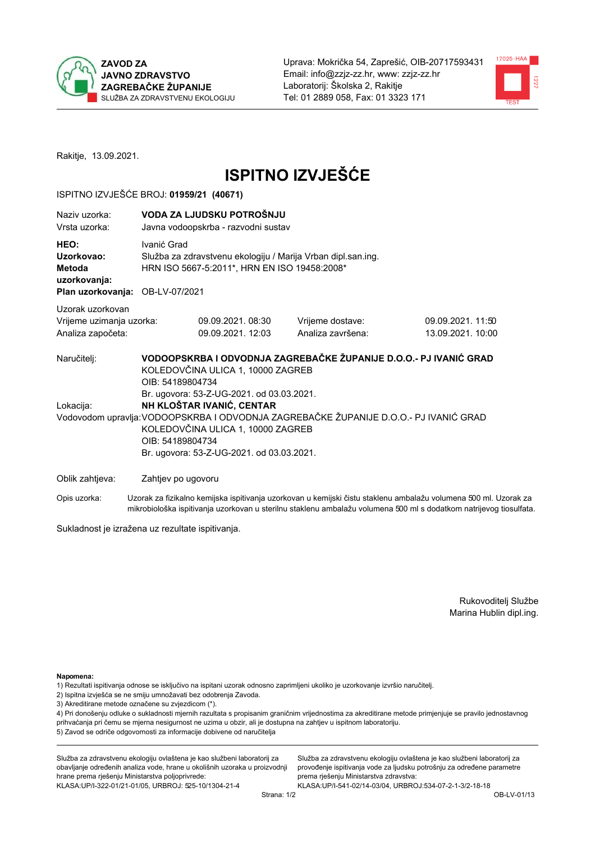



Rakitje, 13.09.2021.

# **ISPITNO IZVJEŠĆE**

### ISPITNO IZVJEŠĆE BROJ: 01959/21 (40671)

| Naziy uzorka:<br>Vrsta uzorka:                                                  |                                                                                                                                                                                                                                                                       | VODA ZA LJUDSKU POTROŠNJU<br>Javna vodoopskrba - razvodni sustav                                             |                                                                   |                                       |  |  |
|---------------------------------------------------------------------------------|-----------------------------------------------------------------------------------------------------------------------------------------------------------------------------------------------------------------------------------------------------------------------|--------------------------------------------------------------------------------------------------------------|-------------------------------------------------------------------|---------------------------------------|--|--|
| HEO:<br>Uzorkovao:<br>Metoda<br>uzorkovanja:<br>Plan uzorkovanja: OB-LV-07/2021 | Ivanić Grad                                                                                                                                                                                                                                                           | Služba za zdravstvenu ekologiju / Marija Vrban dipl.san.ing.<br>HRN ISO 5667-5:2011*, HRN EN ISO 19458:2008* |                                                                   |                                       |  |  |
| Uzorak uzorkovan<br>Vrijeme uzimanja uzorka:<br>Analiza započeta:               |                                                                                                                                                                                                                                                                       | 09.09.2021.08:30<br>09.09.2021.12:03                                                                         | Vrijeme dostave:<br>Analiza završena:                             | 09.09.2021.11:50<br>13.09.2021. 10:00 |  |  |
| Naručitelj:                                                                     | OIB: 54189804734                                                                                                                                                                                                                                                      | KOLEDOVČINA ULICA 1, 10000 ZAGREB                                                                            | VODOOPSKRBA I ODVODNJA ZAGREBAČKE ŽUPANIJE D.O.O.- PJ IVANIĆ GRAD |                                       |  |  |
| Lokacija:                                                                       | Br. ugovora: 53-Z-UG-2021. od 03.03.2021.<br>NH KLOŠTAR IVANIĆ, CENTAR<br>Vodovodom upravlja: VODOOPSKRBA I ODVODNJA ZAGREBAČKE ŽUPANIJE D.O.O.- PJ IVANIĆ GRAD<br>KOLEDOVČINA ULICA 1, 10000 ZAGREB<br>OIB: 54189804734<br>Br. ugovora: 53-Z-UG-2021. od 03.03.2021. |                                                                                                              |                                                                   |                                       |  |  |
| Oblik zahtjeva:                                                                 | Zahtjev po ugovoru                                                                                                                                                                                                                                                    |                                                                                                              |                                                                   |                                       |  |  |

Opis uzorka: Uzorak za fizikalno kemijska ispitivanja uzorkovan u kemijski čistu staklenu ambalažu volumena 500 ml. Uzorak za mikrobiološka ispitivanja uzorkovan u sterilnu staklenu ambalažu volumena 500 ml s dodatkom natrijevog tiosulfata.

Sukladnost je izražena uz rezultate ispitivanja.

Rukovoditelj Službe Marina Hublin dipl.ing.

Napomena:

- 1) Rezultati ispitivanja odnose se isključivo na ispitani uzorak odnosno zaprimljeni ukoliko je uzorkovanje izvršio naručitelj.
- 2) Ispitna izvješća se ne smiju umnožavati bez odobrenja Zavoda.
- 3) Akreditirane metode označene su zvjezdicom (\*).

4) Pri donošenju odluke o sukladnosti mjernih razultata s propisanim graničnim vrijednostima za akreditirane metode primjenjuje se pravilo jednostavnog prihvaćanja pri čemu se mjerna nesigurnost ne uzima u obzir, ali je dostupna na zahtjev u ispitnom laboratoriju. 5) Zavod se odriče odgovornosti za informacije dobivene od naručitelja

Služba za zdravstvenu ekologiju ovlaštena je kao službeni laboratorij za obavljanje određenih analiza vode, hrane u okolišnih uzoraka u proizvodnji hrane prema rješenju Ministarstva poljoprivrede: KLASA: UP/I-322-01/21-01/05, URBROJ: 525-10/1304-21-4

Služba za zdravstvenu ekologiju ovlaštena je kao službeni laboratorij za provođenje ispitivanja vode za ljudsku potrošnju za određene parametre prema rješenju Ministarstva zdravstva: KLASA:UP/I-541-02/14-03/04, URBROJ:534-07-2-1-3/2-18-18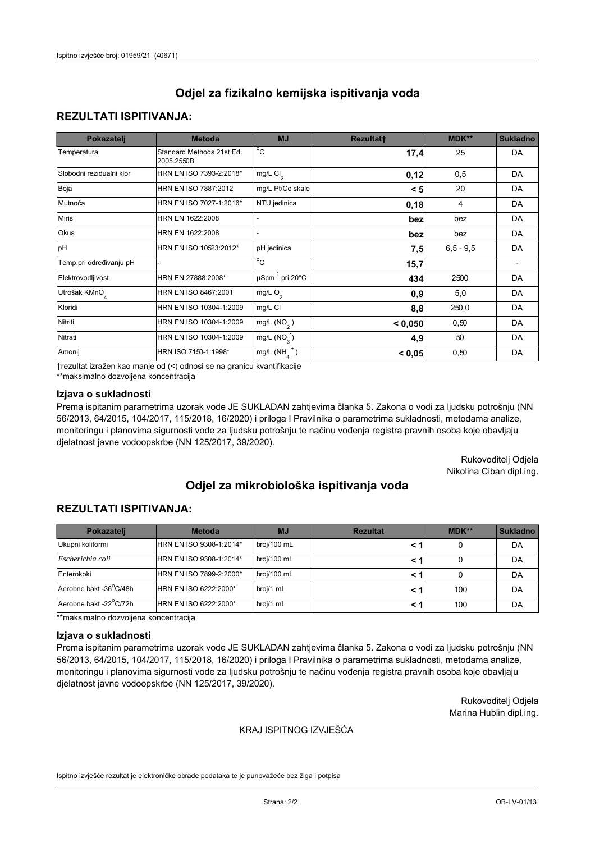# **REZULTATI ISPITIVANJA:**

| Pokazatelj                | <b>Metoda</b>                           | <b>MJ</b>                                | <b>Rezultatt</b> | <b>MDK**</b> | <b>Sukladno</b> |
|---------------------------|-----------------------------------------|------------------------------------------|------------------|--------------|-----------------|
| Temperatura               | Standard Methods 21st Ed.<br>2005.2550B | $^{\circ}$ C                             | 17,4             | 25           | DA              |
| Slobodni rezidualni klor  | HRN EN ISO 7393-2:2018*                 | $\overline{\text{mg/L}}$ Cl <sub>2</sub> | 0,12             | 0,5          | DA              |
| Boja                      | HRN EN ISO 7887:2012                    | mg/L Pt/Co skale                         | < 5              | 20           | DA              |
| Mutnoća                   | HRN EN ISO 7027-1:2016*                 | NTU jedinica                             | 0,18             | 4            | DA              |
| <b>Miris</b>              | HRN EN 1622:2008                        |                                          | bez              | bez          | DA              |
| Okus                      | HRN EN 1622:2008                        |                                          | bez              | bez          | DA              |
| pH                        | HRN EN ISO 10523:2012*                  | pH jedinica                              | 7,5              | $6.5 - 9.5$  | DA              |
| Temp.pri određivanju pH   |                                         | $\overline{c}$                           | 15,7             |              |                 |
| Elektrovodljivost         | HRN EN 27888:2008*                      | $\mu$ Scm <sup>-1</sup> pri 20°C         | 434              | 2500         | DA              |
| Utrošak KMnO <sub>4</sub> | HRN EN ISO 8467:2001                    | mg/L $O_2$                               | 0.9              | 5,0          | DA              |
| Kloridi                   | HRN EN ISO 10304-1:2009                 | mg/L CI                                  | 8,8              | 250,0        | DA              |
| Nitriti                   | HRN EN ISO 10304-1:2009                 | mg/L $(NO2)$                             | < 0,050          | 0,50         | DA              |
| Nitrati                   | HRN EN ISO 10304-1:2009                 | mg/L (NO <sub>3</sub> )                  | 4,9              | 50           | DA              |
| Amonij                    | HRN ISO 7150-1:1998*                    | mg/L $(NH_{\lambda}^{\dagger})$          | < 0,05           | 0,50         | DA              |

trezultat izražen kao manje od (<) odnosi se na granicu kvantifikacije

\*\*maksimalno dozvoljena koncentracija

## Izjava o sukladnosti

Prema ispitanim parametrima uzorak vode JE SUKLADAN zahtjevima članka 5. Zakona o vodi za ljudsku potrošnju (NN 56/2013, 64/2015, 104/2017, 115/2018, 16/2020) i priloga I Pravilnika o parametrima sukladnosti, metodama analize, monitoringu i planovima sigurnosti vode za ljudsku potrošnju te načinu vođenja registra pravnih osoba koje obavljaju djelatnost javne vodoopskrbe (NN 125/2017, 39/2020).

> Rukovoditelj Odjela Nikolina Ciban dipl.ing.

# Odjel za mikrobiološka ispitivanja voda

# **REZULTATI ISPITIVANJA:**

| Pokazateli             | <b>Metoda</b>           | <b>MJ</b>   | <b>Rezultat</b> | MDK** | <b>Sukladno</b> |
|------------------------|-------------------------|-------------|-----------------|-------|-----------------|
| Ukupni koliformi       | HRN EN ISO 9308-1:2014* | broj/100 mL |                 |       | DA              |
| Escherichia coli       | HRN EN ISO 9308-1:2014* | broj/100 mL |                 |       | DA              |
| Enterokoki             | HRN EN ISO 7899-2:2000* | broj/100 mL |                 |       | DA              |
| Aerobne bakt -36°C/48h | HRN EN ISO 6222:2000*   | broj/1 mL   |                 | 100   | DA              |
| Aerobne bakt -22°C/72h | HRN EN ISO 6222:2000*   | broj/1 mL   |                 | 100   | DA              |

\*\*maksimalno dozvoljena koncentracija

#### Izjava o sukladnosti

Prema ispitanim parametrima uzorak vode JE SUKLADAN zahtjevima članka 5. Zakona o vodi za ljudsku potrošnju (NN 56/2013, 64/2015, 104/2017, 115/2018, 16/2020) i priloga I Pravilnika o parametrima sukladnosti, metodama analize, monitoringu i planovima sigurnosti vode za ljudsku potrošnju te načinu vođenja registra pravnih osoba koje obavljaju djelatnost javne vodoopskrbe (NN 125/2017, 39/2020).

> Rukovoditelj Odjela Marina Hublin dipl.ing.

#### KRAJ ISPITNOG IZVJEŠĆA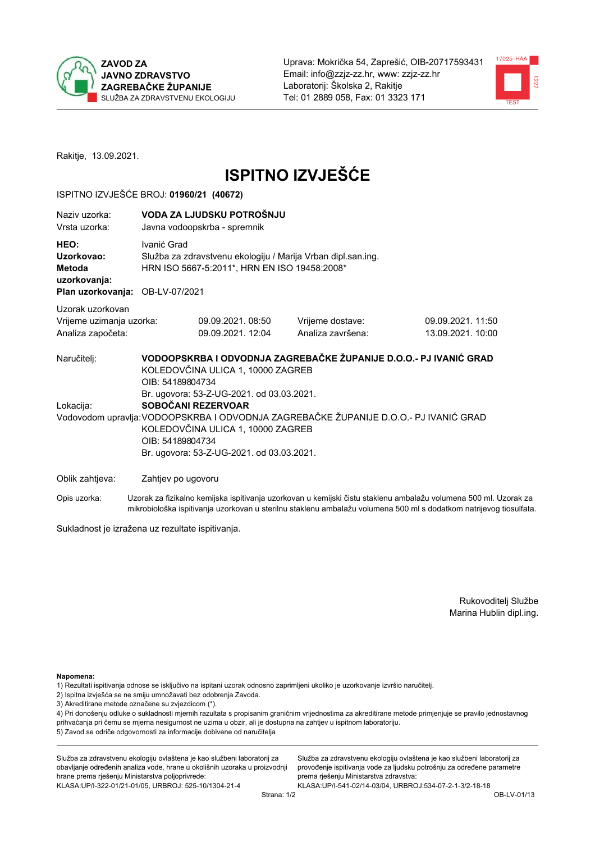



Rakitje, 13.09.2021.

# **ISPITNO IZVJEŠĆE**

### ISPITNO IZVJEŠĆE BROJ: 01960/21 (40672)

| Naziv uzorka:<br>Vrsta uzorka:                                                  |                                                                                                                                                                                                                   | VODA ZA LJUDSKU POTROŠNJU<br>Javna vodoopskrba - spremnik                                                    |                                                                                                                                       |                   |  |  |
|---------------------------------------------------------------------------------|-------------------------------------------------------------------------------------------------------------------------------------------------------------------------------------------------------------------|--------------------------------------------------------------------------------------------------------------|---------------------------------------------------------------------------------------------------------------------------------------|-------------------|--|--|
| HEO:<br>Uzorkovao:<br>Metoda<br>uzorkovanja:<br>Plan uzorkovanja: OB-LV-07/2021 | Ivanić Grad                                                                                                                                                                                                       | Služba za zdravstvenu ekologiju / Marija Vrban dipl.san.ing.<br>HRN ISO 5667-5:2011*, HRN EN ISO 19458:2008* |                                                                                                                                       |                   |  |  |
| Uzorak uzorkovan                                                                |                                                                                                                                                                                                                   |                                                                                                              |                                                                                                                                       |                   |  |  |
| Vrijeme uzimanja uzorka:                                                        |                                                                                                                                                                                                                   | 09.09.2021, 08:50                                                                                            | Vrijeme dostave:                                                                                                                      | 09.09.2021.11:50  |  |  |
| Analiza započeta:                                                               |                                                                                                                                                                                                                   | 09.09.2021.12:04                                                                                             | Analiza završena:                                                                                                                     | 13.09.2021. 10:00 |  |  |
| Naručitelj:                                                                     | OIB: 54189804734                                                                                                                                                                                                  | KOLEDOVČINA ULICA 1, 10000 ZAGREB<br>Br. ugovora: 53-Z-UG-2021. od 03.03.2021.                               | VODOOPSKRBA I ODVODNJA ZAGREBAČKE ŽUPANIJE D.O.O.- PJ IVANIĆ GRAD                                                                     |                   |  |  |
| Lokacija:                                                                       |                                                                                                                                                                                                                   |                                                                                                              |                                                                                                                                       |                   |  |  |
|                                                                                 | SOBOČANI REZERVOAR<br>Vodovodom upravlja: VODOOPSKRBA I ODVODNJA ZAGREBAČKE ŽUPANIJE D.O.O.- PJ IVANIĆ GRAD<br>KOLEDOVČINA ULICA 1, 10000 ZAGREB<br>OIB: 54189804734<br>Br. ugovora: 53-Z-UG-2021. od 03.03.2021. |                                                                                                              |                                                                                                                                       |                   |  |  |
| Oblik zahtjeva:                                                                 | Zahtjev po ugovoru                                                                                                                                                                                                |                                                                                                              |                                                                                                                                       |                   |  |  |
|                                                                                 |                                                                                                                                                                                                                   |                                                                                                              | Onis consultare — Holland on College Isability in the contractor of the continue of the stability of the contractor of the FOO and Ho |                   |  |  |

Opis uzorka: Uzorak za fizikalno kemijska ispitivanja uzorkovan u kemijski čistu staklenu ambalažu volumena 500 ml. Uzorak za mikrobiološka ispitivanja uzorkovan u sterilnu staklenu ambalažu volumena 500 ml s dodatkom natrijevog tiosulfata.

Sukladnost je izražena uz rezultate ispitivanja.

Rukovoditelj Službe Marina Hublin dipl.ing.

Napomena:

1) Rezultati ispitivanja odnose se isključivo na ispitani uzorak odnosno zaprimljeni ukoliko je uzorkovanje izvršio naručitelj.

- 2) Ispitna izvješća se ne smiju umnožavati bez odobrenja Zavoda.
- 3) Akreditirane metode označene su zvjezdicom (\*).

4) Pri donošenju odluke o sukladnosti mjernih razultata s propisanim graničnim vrijednostima za akreditirane metode primjenjuje se pravilo jednostavnog prihvaćanja pri čemu se mjerna nesigurnost ne uzima u obzir, ali je dostupna na zahtjev u ispitnom laboratoriju. 5) Zavod se odriče odgovornosti za informacije dobivene od naručitelja

Služba za zdravstvenu ekologiju ovlaštena je kao službeni laboratorij za obavljanje određenih analiza vode, hrane u okolišnih uzoraka u proizvodnji hrane prema rješenju Ministarstva poljoprivrede: KLASA.UP/I-322-01/21-01/05, URBROJ: 525-10/1304-21-4

Služba za zdravstvenu ekologiju ovlaštena je kao službeni laboratorij za provođenje ispitivanja vode za ljudsku potrošnju za određene parametre prema rješenju Ministarstva zdravstva: KLASA:UP/I-541-02/14-03/04, URBROJ:534-07-2-1-3/2-18-18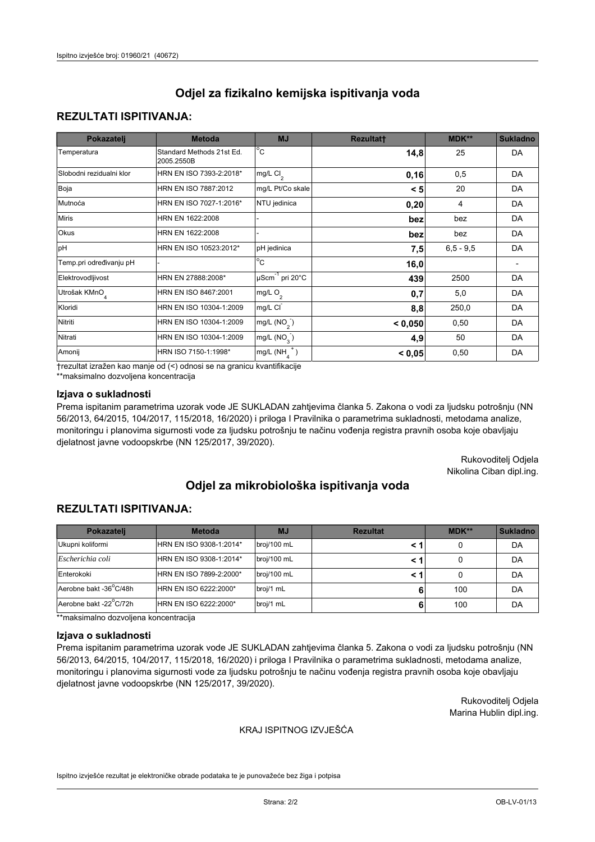# **REZULTATI ISPITIVANJA:**

| Pokazatelj                | <b>Metoda</b>                           | <b>MJ</b>                                | <b>Rezultatt</b> | <b>MDK**</b> | <b>Sukladno</b> |
|---------------------------|-----------------------------------------|------------------------------------------|------------------|--------------|-----------------|
| Temperatura               | Standard Methods 21st Ed.<br>2005.2550B | $\overline{C}$                           | 14,8             | 25           | DA              |
| Slobodni rezidualni klor  | HRN EN ISO 7393-2:2018*                 | $\overline{\text{mg/L}}$ Cl <sub>2</sub> | 0, 16            | 0,5          | DA              |
| Boja                      | HRN EN ISO 7887:2012                    | mg/L Pt/Co skale                         | < 5              | 20           | DA              |
| Mutnoća                   | HRN EN ISO 7027-1:2016*                 | NTU jedinica                             | 0,20             | 4            | DA              |
| <b>Miris</b>              | HRN EN 1622:2008                        |                                          | bez              | bez          | DA              |
| Okus                      | HRN EN 1622:2008                        |                                          | bez              | bez          | DA              |
| pH                        | HRN EN ISO 10523:2012*                  | pH jedinica                              | 7,5              | $6.5 - 9.5$  | DA              |
| Temp.pri određivanju pH   |                                         | $\overline{c}$                           | 16,0             |              |                 |
| Elektrovodljivost         | HRN EN 27888:2008*                      | $\mu$ Scm <sup>-1</sup> pri 20°C         | 439              | 2500         | DA              |
| Utrošak KMnO <sub>4</sub> | HRN EN ISO 8467:2001                    | mg/L $O_2$                               | 0,7              | 5,0          | DA              |
| Kloridi                   | HRN EN ISO 10304-1:2009                 | mg/L CI                                  | 8,8              | 250,0        | DA              |
| Nitriti                   | HRN EN ISO 10304-1:2009                 | mg/L $(NO2)$                             | < 0.050          | 0,50         | DA              |
| Nitrati                   | HRN EN ISO 10304-1:2009                 | mg/L (NO <sub>3</sub> )                  | 4,9              | 50           | DA              |
| Amonij                    | HRN ISO 7150-1:1998*                    | mg/L $(NH_{\lambda}^{\dagger})$          | < 0,05           | 0,50         | DA              |

trezultat izražen kao manje od (<) odnosi se na granicu kvantifikacije

\*\*maksimalno dozvoljena koncentracija

## Izjava o sukladnosti

Prema ispitanim parametrima uzorak vode JE SUKLADAN zahtjevima članka 5. Zakona o vodi za ljudsku potrošnju (NN 56/2013, 64/2015, 104/2017, 115/2018, 16/2020) i priloga I Pravilnika o parametrima sukladnosti, metodama analize, monitoringu i planovima sigurnosti vode za ljudsku potrošnju te načinu vođenja registra pravnih osoba koje obavljaju djelatnost javne vodoopskrbe (NN 125/2017, 39/2020).

> Rukovoditelj Odjela Nikolina Ciban dipl.ing.

# Odjel za mikrobiološka ispitivanja voda

## **REZULTATI ISPITIVANJA:**

| Pokazatelj             | <b>Metoda</b>           | <b>MJ</b>   | <b>Rezultat</b> | MDK** | <b>Sukladno</b> |
|------------------------|-------------------------|-------------|-----------------|-------|-----------------|
| Ukupni koliformi       | HRN EN ISO 9308-1:2014* | broj/100 mL |                 |       | DA              |
| Escherichia coli       | HRN EN ISO 9308-1:2014* | broj/100 mL |                 |       | DA              |
| Enterokoki             | HRN EN ISO 7899-2:2000* | broj/100 mL |                 |       | DA              |
| Aerobne bakt -36°C/48h | HRN EN ISO 6222:2000*   | broj/1 mL   |                 | 100   | DA              |
| Aerobne bakt -22°C/72h | HRN EN ISO 6222:2000*   | broj/1 mL   |                 | 100   | DA              |

\*\*maksimalno dozvoljena koncentracija

#### Izjava o sukladnosti

Prema ispitanim parametrima uzorak vode JE SUKLADAN zahtjevima članka 5. Zakona o vodi za ljudsku potrošnju (NN 56/2013, 64/2015, 104/2017, 115/2018, 16/2020) i priloga I Pravilnika o parametrima sukladnosti, metodama analize, monitoringu i planovima sigurnosti vode za ljudsku potrošnju te načinu vođenja registra pravnih osoba koje obavljaju djelatnost javne vodoopskrbe (NN 125/2017, 39/2020).

> Rukovoditelj Odjela Marina Hublin dipl.ing.

#### KRAJ ISPITNOG IZVJEŠĆA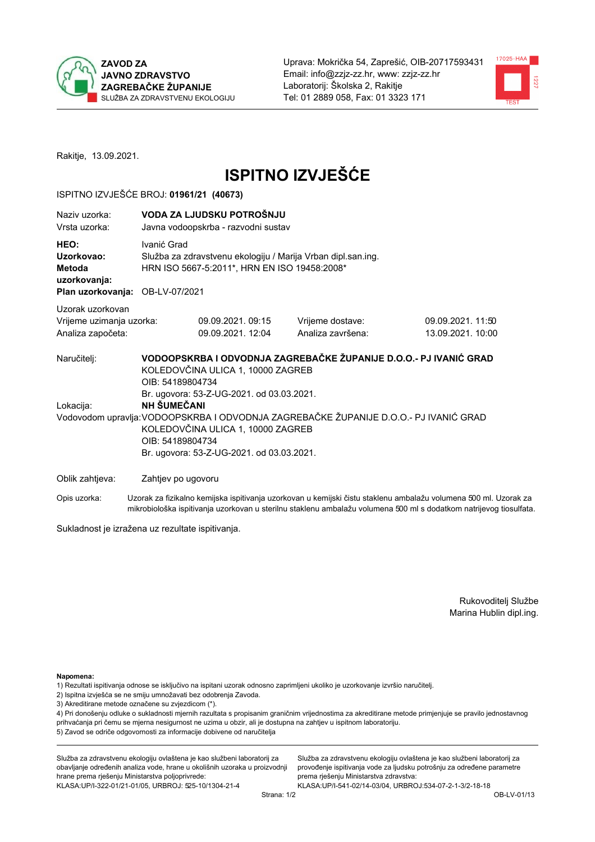



Rakitje, 13.09.2021.

# **ISPITNO IZVJEŠĆE**

### ISPITNO IZVJEŠĆE BROJ: 01961/21 (40673)

| Naziv uzorka:<br>Vrsta uzorka:                                                                                                                                                                                 |                    | VODA ZA LJUDSKU POTROŠNJU<br>Javna vodoopskrba - razvodni sustav                                                                                                                                                                                                                                                                                                                      |                                       |                                                                                                                  |  |  |  |  |
|----------------------------------------------------------------------------------------------------------------------------------------------------------------------------------------------------------------|--------------------|---------------------------------------------------------------------------------------------------------------------------------------------------------------------------------------------------------------------------------------------------------------------------------------------------------------------------------------------------------------------------------------|---------------------------------------|------------------------------------------------------------------------------------------------------------------|--|--|--|--|
| Ivanić Grad<br>HEO:<br>Služba za zdravstvenu ekologiju / Marija Vrban dipl.san.ing.<br>Uzorkovao:<br>HRN ISO 5667-5:2011*, HRN EN ISO 19458:2008*<br>Metoda<br>uzorkovanja:<br>Plan uzorkovanja: OB-LV-07/2021 |                    |                                                                                                                                                                                                                                                                                                                                                                                       |                                       |                                                                                                                  |  |  |  |  |
|                                                                                                                                                                                                                |                    |                                                                                                                                                                                                                                                                                                                                                                                       |                                       |                                                                                                                  |  |  |  |  |
| Uzorak uzorkovan<br>Vrijeme uzimanja uzorka:<br>Analiza započeta:                                                                                                                                              |                    | 09.09.2021.09:15<br>09.09.2021. 12:04                                                                                                                                                                                                                                                                                                                                                 | Vrijeme dostave:<br>Analiza završena: | 09.09.2021.11:50<br>13.09.2021. 10:00                                                                            |  |  |  |  |
| Naručitelj:<br>Lokacija:                                                                                                                                                                                       |                    | VODOOPSKRBA I ODVODNJA ZAGREBAČKE ŽUPANIJE D.O.O.- PJ IVANIĆ GRAD<br>KOLEDOVČINA ULICA 1, 10000 ZAGREB<br>OIB: 54189804734<br>Br. ugovora: 53-Z-UG-2021. od 03.03.2021.<br>NH ŠUMEČANI<br>Vodovodom upravlja: VODOOPSKRBA I ODVODNJA ZAGREBAČKE ŽUPANIJE D.O.O.- PJ IVANIĆ GRAD<br>KOLEDOVČINA ULICA 1, 10000 ZAGREB<br>OIB: 54189804734<br>Br. ugovora: 53-Z-UG-2021. od 03.03.2021. |                                       |                                                                                                                  |  |  |  |  |
| Oblik zahtjeva:                                                                                                                                                                                                | Zahtjev po ugovoru |                                                                                                                                                                                                                                                                                                                                                                                       |                                       |                                                                                                                  |  |  |  |  |
| Opis uzorka:                                                                                                                                                                                                   |                    |                                                                                                                                                                                                                                                                                                                                                                                       |                                       | Uzorak za fizikalno kemijska ispitivanja uzorkovan u kemijski čistu staklenu ambalažu volumena 500 ml. Uzorak za |  |  |  |  |

mikrobiološka ispitivanja uzorkovan u sterilnu staklenu ambalažu volumena 500 ml s dodatkom natrijevog tiosulfata.

Sukladnost je izražena uz rezultate ispitivanja.

Rukovoditelj Službe Marina Hublin dipl.ing.

Napomena:

- 1) Rezultati ispitivanja odnose se isključivo na ispitani uzorak odnosno zaprimljeni ukoliko je uzorkovanje izvršio naručitelj.
- 2) Ispitna izvješća se ne smiju umnožavati bez odobrenja Zavoda.
- 3) Akreditirane metode označene su zvjezdicom (\*).

4) Pri donošenju odluke o sukladnosti mjernih razultata s propisanim graničnim vrijednostima za akreditirane metode primjenjuje se pravilo jednostavnog prihvaćanja pri čemu se mjerna nesigurnost ne uzima u obzir, ali je dostupna na zahtjev u ispitnom laboratoriju. 5) Zavod se odriče odgovornosti za informacije dobivene od naručitelja

Služba za zdravstvenu ekologiju ovlaštena je kao službeni laboratorij za obavljanje određenih analiza vode, hrane u okolišnih uzoraka u proizvodnji hrane prema rješenju Ministarstva poljoprivrede: KLASA: UP/I-322-01/21-01/05, URBROJ: 525-10/1304-21-4

Služba za zdravstvenu ekologiju ovlaštena je kao službeni laboratorij za provođenje ispitivanja vode za ljudsku potrošnju za određene parametre prema rješenju Ministarstva zdravstva: KLASA:UP/I-541-02/14-03/04, URBROJ:534-07-2-1-3/2-18-18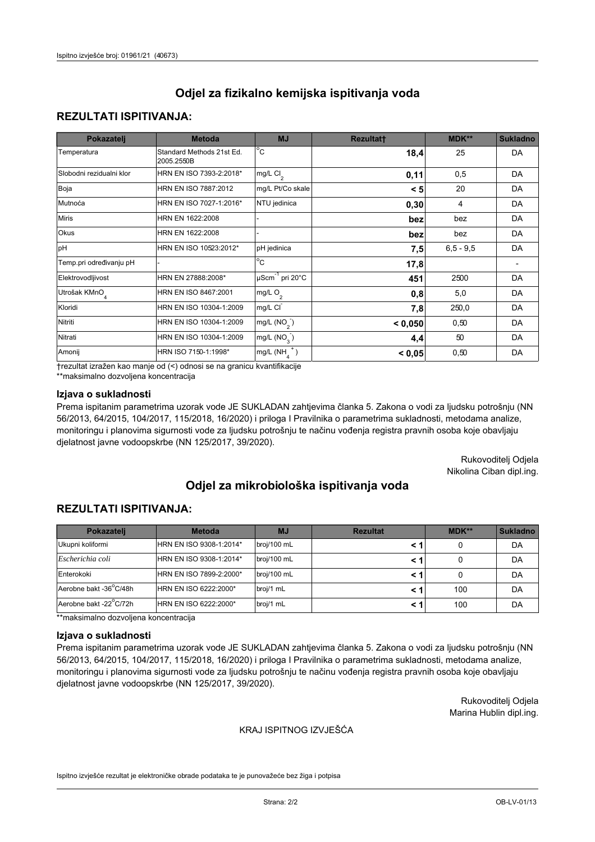## **REZULTATI ISPITIVANJA:**

| Pokazatelj                | <b>Metoda</b>                           | <b>MJ</b>                        | <b>Rezultatt</b> | MDK**       | <b>Sukladno</b> |
|---------------------------|-----------------------------------------|----------------------------------|------------------|-------------|-----------------|
| Temperatura               | Standard Methods 21st Ed.<br>2005.2550B | $^{\circ}$ C                     | 18,4             | 25          | DA              |
| Slobodni rezidualni klor  | HRN EN ISO 7393-2:2018*                 | mg/L $Cl2$                       | 0,11             | 0,5         | DA              |
| Boja                      | HRN EN ISO 7887:2012                    | mg/L Pt/Co skale                 | < 5              | 20          | DA              |
| Mutnoća                   | HRN EN ISO 7027-1:2016*                 | NTU jedinica                     | 0,30             | 4           | DA              |
| <b>Miris</b>              | HRN EN 1622:2008                        |                                  | bez              | bez         | DA              |
| Okus                      | HRN EN 1622:2008                        |                                  | bez              | bez         | DA              |
| pH                        | HRN EN ISO 10523:2012*                  | pH jedinica                      | 7,5              | $6,5 - 9,5$ | DA              |
| Temp.pri određivanju pH   |                                         | $\overline{c}$                   | 17,8             |             |                 |
| Elektrovodljivost         | HRN EN 27888:2008*                      | $\mu$ Scm <sup>-1</sup> pri 20°C | 451              | 2500        | DA              |
| Utrošak KMnO <sub>4</sub> | HRN EN ISO 8467:2001                    | mg/L O <sub>2</sub>              | 0,8              | 5,0         | DA              |
| Kloridi                   | HRN EN ISO 10304-1:2009                 | mg/L CI                          | 7,8              | 250,0       | DA              |
| Nitriti                   | HRN EN ISO 10304-1:2009                 | mg/L $(NO2)$                     | < 0,050          | 0,50        | DA              |
| Nitrati                   | HRN EN ISO 10304-1:2009                 | mg/L (NO <sub>3</sub> )          | 4,4              | 50          | DA              |
| Amonij                    | HRN ISO 7150-1:1998*                    | $mg/L(NH_A^+)$                   | < 0,05           | 0,50        | DA              |

trezultat izražen kao manje od (<) odnosi se na granicu kvantifikacije

\*\*maksimalno dozvoljena koncentracija

## Izjava o sukladnosti

Prema ispitanim parametrima uzorak vode JE SUKLADAN zahtjevima članka 5. Zakona o vodi za ljudsku potrošnju (NN 56/2013, 64/2015, 104/2017, 115/2018, 16/2020) i priloga I Pravilnika o parametrima sukladnosti, metodama analize, monitoringu i planovima sigurnosti vode za ljudsku potrošnju te načinu vođenja registra pravnih osoba koje obavljaju djelatnost javne vodoopskrbe (NN 125/2017, 39/2020).

> Rukovoditelj Odjela Nikolina Ciban dipl.ing.

# Odjel za mikrobiološka ispitivanja voda

# **REZULTATI ISPITIVANJA:**

| Pokazatelj             | <b>Metoda</b>           | <b>MJ</b>   | <b>Rezultat</b> | MDK** | <b>Sukladno</b> |
|------------------------|-------------------------|-------------|-----------------|-------|-----------------|
| Ukupni koliformi       | HRN EN ISO 9308-1:2014* | broj/100 mL |                 |       | DA              |
| Escherichia coli       | HRN EN ISO 9308-1:2014* | broj/100 mL |                 |       | DA              |
| Enterokoki             | HRN EN ISO 7899-2:2000* | broj/100 mL |                 |       | DA              |
| Aerobne bakt -36°C/48h | HRN EN ISO 6222:2000*   | broj/1 mL   |                 | 100   | DA              |
| Aerobne bakt -22°C/72h | HRN EN ISO 6222:2000*   | broj/1 mL   |                 | 100   | DA              |

\*\*maksimalno dozvoljena koncentracija

#### Izjava o sukladnosti

Prema ispitanim parametrima uzorak vode JE SUKLADAN zahtjevima članka 5. Zakona o vodi za ljudsku potrošnju (NN 56/2013, 64/2015, 104/2017, 115/2018, 16/2020) i priloga I Pravilnika o parametrima sukladnosti, metodama analize, monitoringu i planovima sigurnosti vode za ljudsku potrošnju te načinu vođenja registra pravnih osoba koje obavljaju djelatnost javne vodoopskrbe (NN 125/2017, 39/2020).

> Rukovoditelj Odjela Marina Hublin dipl.ing.

#### KRAJ ISPITNOG IZVJEŠĆA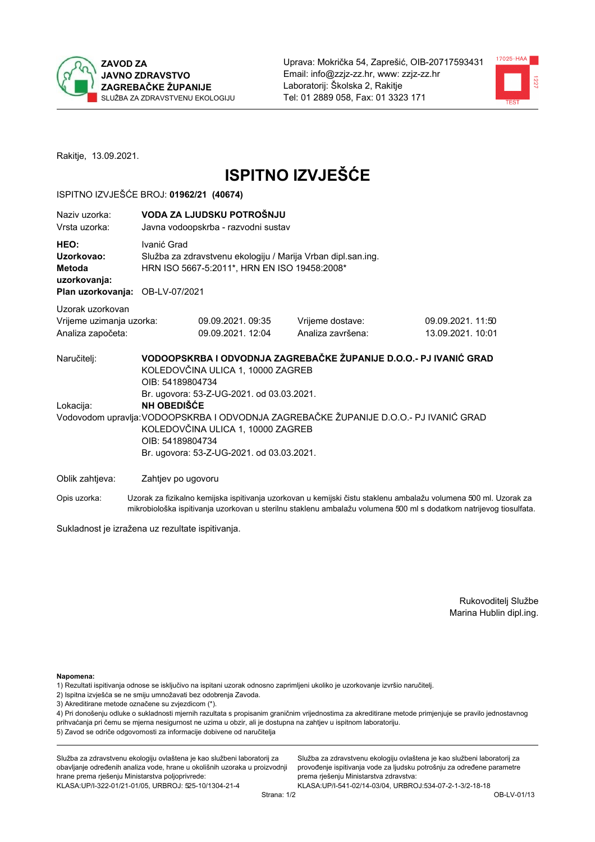



Rakitje, 13.09.2021.

# **ISPITNO IZVJEŠĆE**

### ISPITNO IZVJEŠĆE BROJ: 01962/21 (40674)

| Naziy uzorka:<br>Vrsta uzorka:                                                  |                                                                                                                             | VODA ZA LJUDSKU POTROŠNJU<br>Javna vodoopskrba - razvodni sustav                                                                                                                                                                                                                                                                                                                             |                                       |                                                                                                                  |  |  |  |  |
|---------------------------------------------------------------------------------|-----------------------------------------------------------------------------------------------------------------------------|----------------------------------------------------------------------------------------------------------------------------------------------------------------------------------------------------------------------------------------------------------------------------------------------------------------------------------------------------------------------------------------------|---------------------------------------|------------------------------------------------------------------------------------------------------------------|--|--|--|--|
| HEO:<br>Uzorkovao:<br>Metoda<br>uzorkovanja:<br>Plan uzorkovanja: OB-LV-07/2021 | Ivanić Grad<br>Služba za zdravstvenu ekologiju / Marija Vrban dipl.san.ing.<br>HRN ISO 5667-5:2011*, HRN EN ISO 19458:2008* |                                                                                                                                                                                                                                                                                                                                                                                              |                                       |                                                                                                                  |  |  |  |  |
| Uzorak uzorkovan                                                                |                                                                                                                             |                                                                                                                                                                                                                                                                                                                                                                                              |                                       |                                                                                                                  |  |  |  |  |
| Vrijeme uzimanja uzorka:<br>Analiza započeta:                                   |                                                                                                                             | 09.09.2021.09:35<br>09.09.2021. 12:04                                                                                                                                                                                                                                                                                                                                                        | Vrijeme dostave:<br>Analiza završena: | 09.09.2021.11:50<br>13.09.2021. 10:01                                                                            |  |  |  |  |
| Naručitelj:<br>Lokacija:                                                        |                                                                                                                             | VODOOPSKRBA I ODVODNJA ZAGREBAČKE ŽUPANIJE D.O.O.- PJ IVANIĆ GRAD<br>KOLEDOVČINA ULICA 1, 10000 ZAGREB<br>OIB: 54189804734<br>Br. ugovora: 53-Z-UG-2021. od 03.03.2021.<br><b>NH OBEDIŠĆE</b><br>Vodovodom upravlja: VODOOPSKRBA I ODVODNJA ZAGREBAČKE ŽUPANIJE D.O.O.- PJ IVANIĆ GRAD<br>KOLEDOVČINA ULICA 1, 10000 ZAGREB<br>OIB: 54189804734<br>Br. ugovora: 53-Z-UG-2021. od 03.03.2021. |                                       |                                                                                                                  |  |  |  |  |
| Oblik zahtjeva:                                                                 | Zahtjev po ugovoru                                                                                                          |                                                                                                                                                                                                                                                                                                                                                                                              |                                       |                                                                                                                  |  |  |  |  |
| Opis uzorka:                                                                    |                                                                                                                             |                                                                                                                                                                                                                                                                                                                                                                                              |                                       | Uzorak za fizikalno kemijska ispitivanja uzorkovan u kemijski čistu staklenu ambalažu volumena 500 ml. Uzorak za |  |  |  |  |

Sukladnost je izražena uz rezultate ispitivanja.

Rukovoditelj Službe Marina Hublin dipl.ing.

#### Napomena:

- 1) Rezultati ispitivanja odnose se isključivo na ispitani uzorak odnosno zaprimljeni ukoliko je uzorkovanje izvršio naručitelj.
- 2) Ispitna izvješća se ne smiju umnožavati bez odobrenja Zavoda.
- 3) Akreditirane metode označene su zvjezdicom (\*).

4) Pri donošenju odluke o sukladnosti mjernih razultata s propisanim graničnim vrijednostima za akreditirane metode primjenjuje se pravilo jednostavnog prihvaćanja pri čemu se mjerna nesigurnost ne uzima u obzir, ali je dostupna na zahtjev u ispitnom laboratoriju. 5) Zavod se odriče odgovornosti za informacije dobivene od naručitelja

Služba za zdravstvenu ekologiju ovlaštena je kao službeni laboratorij za obavljanje određenih analiza vode, hrane u okolišnih uzoraka u proizvodnji hrane prema rješenju Ministarstva poljoprivrede: KLASA: UP/I-322-01/21-01/05, URBROJ: 525-10/1304-21-4

Služba za zdravstvenu ekologiju ovlaštena je kao službeni laboratorij za provođenje ispitivanja vode za ljudsku potrošnju za određene parametre prema rješenju Ministarstva zdravstva: KLASA:UP/I-541-02/14-03/04, URBROJ:534-07-2-1-3/2-18-18

mikrobiološka ispitivanja uzorkovan u sterilnu staklenu ambalažu volumena 500 ml s dodatkom natrijevog tiosulfata.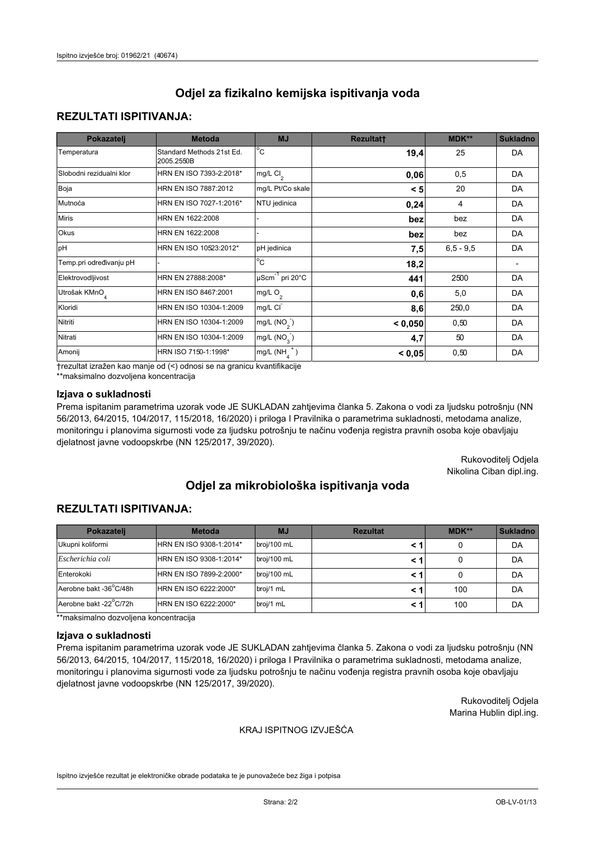# **REZULTATI ISPITIVANJA:**

| Pokazatelj                | <b>Metoda</b>                           | <b>MJ</b>                                | <b>Rezultatt</b> | <b>MDK**</b> | <b>Sukladno</b> |
|---------------------------|-----------------------------------------|------------------------------------------|------------------|--------------|-----------------|
| Temperatura               | Standard Methods 21st Ed.<br>2005.2550B | $^{\circ}$ C                             | 19,4             | 25           | DA              |
| Slobodni rezidualni klor  | HRN EN ISO 7393-2:2018*                 | $\overline{\text{mg/L}}$ Cl <sub>2</sub> | 0,06             | 0,5          | DA              |
| Boja                      | HRN EN ISO 7887:2012                    | mg/L Pt/Co skale                         | < 5              | 20           | DA              |
| Mutnoća                   | HRN EN ISO 7027-1:2016*                 | NTU jedinica                             | 0,24             | 4            | DA              |
| <b>Miris</b>              | HRN EN 1622:2008                        |                                          | bez              | bez          | DA              |
| Okus                      | HRN EN 1622:2008                        |                                          | bez              | bez          | DA              |
| pH                        | HRN EN ISO 10523:2012*                  | pH jedinica                              | 7,5              | $6.5 - 9.5$  | DA              |
| Temp.pri određivanju pH   |                                         | $\overline{c}$                           | 18,2             |              |                 |
| Elektrovodljivost         | HRN EN 27888:2008*                      | $\mu$ Scm <sup>-1</sup> pri 20°C         | 441              | 2500         | DA              |
| Utrošak KMnO <sub>4</sub> | HRN EN ISO 8467:2001                    | mg/L $O_2$                               | 0,6              | 5,0          | DA              |
| Kloridi                   | HRN EN ISO 10304-1:2009                 | mg/L CI                                  | 8,6              | 250,0        | DA              |
| Nitriti                   | HRN EN ISO 10304-1:2009                 | mg/L $(NO2)$                             | < 0,050          | 0,50         | DA              |
| Nitrati                   | HRN EN ISO 10304-1:2009                 | mg/L (NO <sub>3</sub> )                  | 4,7              | 50           | DA              |
| Amonij                    | HRN ISO 7150-1:1998*                    | mg/L $(NH_{\lambda}^{\dagger})$          | < 0,05           | 0,50         | DA              |

trezultat izražen kao manje od (<) odnosi se na granicu kvantifikacije

\*\*maksimalno dozvoljena koncentracija

## Izjava o sukladnosti

Prema ispitanim parametrima uzorak vode JE SUKLADAN zahtjevima članka 5. Zakona o vodi za ljudsku potrošnju (NN 56/2013, 64/2015, 104/2017, 115/2018, 16/2020) i priloga I Pravilnika o parametrima sukladnosti, metodama analize, monitoringu i planovima sigurnosti vode za ljudsku potrošnju te načinu vođenja registra pravnih osoba koje obavljaju djelatnost javne vodoopskrbe (NN 125/2017, 39/2020).

> Rukovoditelj Odjela Nikolina Ciban dipl.ing.

# Odjel za mikrobiološka ispitivanja voda

## **REZULTATI ISPITIVANJA:**

| Pokazateli             | <b>Metoda</b>           | <b>MJ</b>   | <b>Rezultat</b> | MDK** | <b>Sukladno</b> |
|------------------------|-------------------------|-------------|-----------------|-------|-----------------|
| Ukupni koliformi       | HRN EN ISO 9308-1:2014* | broj/100 mL |                 |       | DA              |
| Escherichia coli       | HRN EN ISO 9308-1:2014* | broj/100 mL |                 |       | DA              |
| Enterokoki             | HRN EN ISO 7899-2:2000* | broj/100 mL |                 |       | DA              |
| Aerobne bakt -36°C/48h | HRN EN ISO 6222:2000*   | broj/1 mL   |                 | 100   | DA              |
| Aerobne bakt -22°C/72h | HRN EN ISO 6222:2000*   | broj/1 mL   |                 | 100   | DA              |

\*\*maksimalno dozvoljena koncentracija

#### Izjava o sukladnosti

Prema ispitanim parametrima uzorak vode JE SUKLADAN zahtjevima članka 5. Zakona o vodi za ljudsku potrošnju (NN 56/2013, 64/2015, 104/2017, 115/2018, 16/2020) i priloga I Pravilnika o parametrima sukladnosti, metodama analize, monitoringu i planovima sigurnosti vode za ljudsku potrošnju te načinu vođenja registra pravnih osoba koje obavljaju djelatnost javne vodoopskrbe (NN 125/2017, 39/2020).

> Rukovoditelj Odjela Marina Hublin dipl.ing.

#### KRAJ ISPITNOG IZVJEŠĆA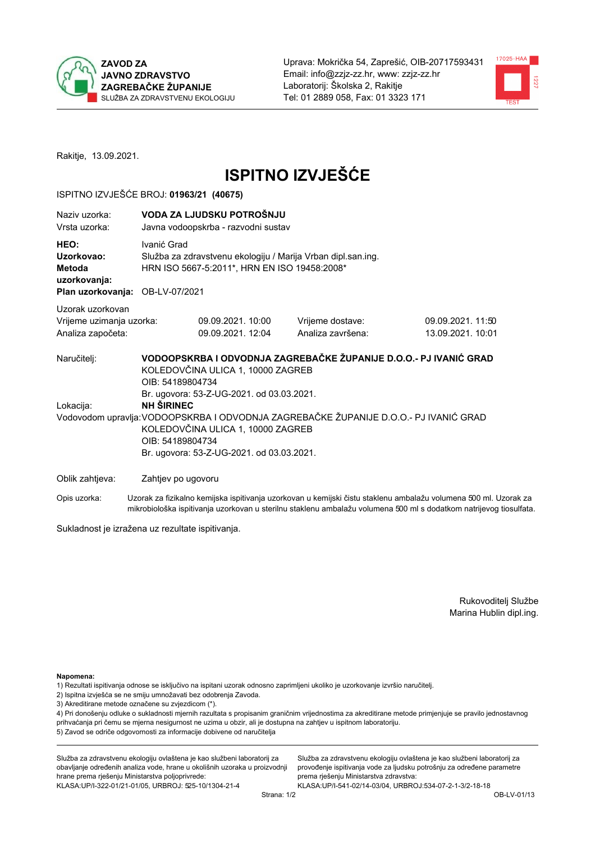



Rakitje, 13.09.2021.

# **ISPITNO IZVJEŠĆE**

### ISPITNO IZVJEŠĆE BROJ: 01963/21 (40675)

| Naziv uzorka:<br>Vrsta uzorka:                                                  |                                                                                                                                                                                                                  | VODA ZA LJUDSKU POTROŠNJU<br>Javna vodoopskrba - razvodni sustav |                                       |                                       |  |  |  |
|---------------------------------------------------------------------------------|------------------------------------------------------------------------------------------------------------------------------------------------------------------------------------------------------------------|------------------------------------------------------------------|---------------------------------------|---------------------------------------|--|--|--|
| HEO:<br>Uzorkovao:<br>Metoda<br>uzorkovanja:<br>Plan uzorkovanja: OB-LV-07/2021 | Ivanić Grad<br>Služba za zdravstvenu ekologiju / Marija Vrban dipl.san.ing.<br>HRN ISO 5667-5:2011*, HRN EN ISO 19458:2008*                                                                                      |                                                                  |                                       |                                       |  |  |  |
|                                                                                 |                                                                                                                                                                                                                  |                                                                  |                                       |                                       |  |  |  |
| Uzorak uzorkovan<br>Vrijeme uzimanja uzorka:<br>Analiza započeta:               |                                                                                                                                                                                                                  | 09.09.2021, 10:00<br>09.09.2021. 12:04                           | Vrijeme dostave:<br>Analiza završena: | 09.09.2021.11:50<br>13.09.2021. 10:01 |  |  |  |
| Naručitelj:                                                                     | VODOOPSKRBA I ODVODNJA ZAGREBAČKE ŽUPANIJE D.O.O.- PJ IVANIĆ GRAD<br>KOLEDOVČINA ULICA 1, 10000 ZAGREB<br>OIB: 54189804734<br>Br. ugovora: 53-Z-UG-2021. od 03.03.2021.                                          |                                                                  |                                       |                                       |  |  |  |
| Lokacija:                                                                       | <b>NH ŠIRINEC</b><br>Vodovodom upravlja: VODOOPSKRBA I ODVODNJA ZAGREBAČKE ŽUPANIJE D.O.O.- PJ IVANIĆ GRAD<br>KOLEDOVČINA ULICA 1, 10000 ZAGREB<br>OIB: 54189804734<br>Br. ugovora: 53-Z-UG-2021. od 03.03.2021. |                                                                  |                                       |                                       |  |  |  |
| Oblik zahtjeva:                                                                 | Zahtjev po ugovoru                                                                                                                                                                                               |                                                                  |                                       |                                       |  |  |  |
|                                                                                 |                                                                                                                                                                                                                  |                                                                  |                                       |                                       |  |  |  |

Uzorak za fizikalno kemijska ispitivanja uzorkovan u kemijski čistu staklenu ambalažu volumena 500 ml. Uzorak za Opis uzorka: mikrobiološka ispitivanja uzorkovan u sterilnu staklenu ambalažu volumena 500 ml s dodatkom natrijevog tiosulfata.

Sukladnost je izražena uz rezultate ispitivanja.

Rukovoditelj Službe Marina Hublin dipl.ing.

Napomena:

- 1) Rezultati ispitivanja odnose se isključivo na ispitani uzorak odnosno zaprimljeni ukoliko je uzorkovanje izvršio naručitelj.
- 2) Ispitna izvješća se ne smiju umnožavati bez odobrenja Zavoda.
- 3) Akreditirane metode označene su zvjezdicom (\*).

4) Pri donošenju odluke o sukladnosti mjernih razultata s propisanim graničnim vrijednostima za akreditirane metode primjenjuje se pravilo jednostavnog prihvaćanja pri čemu se mjerna nesigurnost ne uzima u obzir, ali je dostupna na zahtjev u ispitnom laboratoriju. 5) Zavod se odriče odgovornosti za informacije dobivene od naručitelja

Služba za zdravstvenu ekologiju ovlaštena je kao službeni laboratorij za obavljanje određenih analiza vode, hrane u okolišnih uzoraka u proizvodnji hrane prema rješenju Ministarstva poljoprivrede: KLASA: UP/I-322-01/21-01/05, URBROJ: 525-10/1304-21-4

Služba za zdravstvenu ekologiju ovlaštena je kao službeni laboratorij za provođenje ispitivanja vode za ljudsku potrošnju za određene parametre prema rješenju Ministarstva zdravstva: